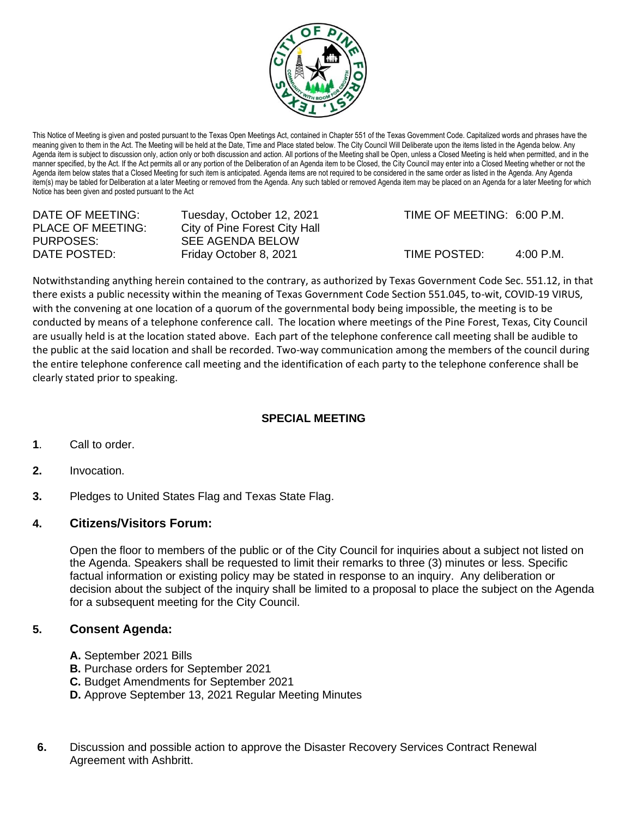

This Notice of Meeting is given and posted pursuant to the Texas Open Meetings Act, contained in Chapter 551 of the Texas Government Code. Capitalized words and phrases have the meaning given to them in the Act. The Meeting will be held at the Date, Time and Place stated below. The City Council Will Deliberate upon the items listed in the Agenda below. Any Agenda item is subject to discussion only, action only or both discussion and action. All portions of the Meeting shall be Open, unless a Closed Meeting is held when permitted, and in the manner specified, by the Act. If the Act permits all or any portion of the Deliberation of an Agenda item to be Closed, the City Council may enter into a Closed Meeting whether or not the Agenda item below states that a Closed Meeting for such item is anticipated. Agenda items are not required to be considered in the same order as listed in the Agenda. Any Agenda item(s) may be tabled for Deliberation at a later Meeting or removed from the Agenda. Any such tabled or removed Agenda item may be placed on an Agenda for a later Meeting for which Notice has been given and posted pursuant to the Act

| DATE OF MEETING:         | Tuesday, October 12, 2021     |
|--------------------------|-------------------------------|
| <b>PLACE OF MEETING:</b> | City of Pine Forest City Hall |
| PURPOSES:                | <b>SEE AGENDA BELOW</b>       |
| DATE POSTED:             | Friday October 8, 2021        |

TIME OF MEETING: 6:00 P.M.

 $TIME$  POSTED:  $4:00$  P.M.

Notwithstanding anything herein contained to the contrary, as authorized by Texas Government Code Sec. 551.12, in that there exists a public necessity within the meaning of Texas Government Code Section 551.045, to-wit, COVID-19 VIRUS, with the convening at one location of a quorum of the governmental body being impossible, the meeting is to be conducted by means of a telephone conference call. The location where meetings of the Pine Forest, Texas, City Council are usually held is at the location stated above. Each part of the telephone conference call meeting shall be audible to the public at the said location and shall be recorded. Two-way communication among the members of the council during the entire telephone conference call meeting and the identification of each party to the telephone conference shall be clearly stated prior to speaking.

## **SPECIAL MEETING**

- **1**. Call to order.
- **2.** Invocation.
- **3.** Pledges to United States Flag and Texas State Flag.

## **4. Citizens/Visitors Forum:**

Open the floor to members of the public or of the City Council for inquiries about a subject not listed on the Agenda. Speakers shall be requested to limit their remarks to three (3) minutes or less. Specific factual information or existing policy may be stated in response to an inquiry. Any deliberation or decision about the subject of the inquiry shall be limited to a proposal to place the subject on the Agenda for a subsequent meeting for the City Council.

## **5. Consent Agenda:**

- **A.** September 2021 Bills
- **B.** Purchase orders for September 2021
- **C.** Budget Amendments for September 2021
- **D.** Approve September 13, 2021 Regular Meeting Minutes
- **6.** Discussion and possible action to approve the Disaster Recovery Services Contract Renewal Agreement with Ashbritt.